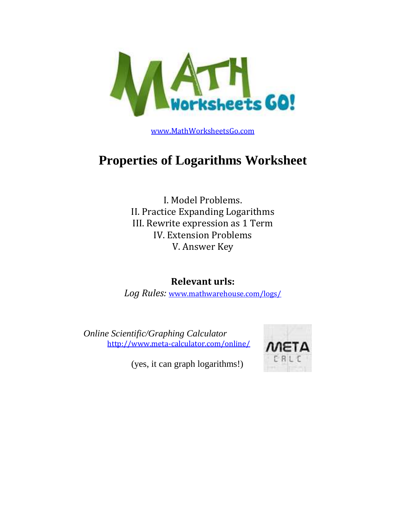

[www.MathWorksheetsGo.com](http://www.mathworksheetsgo.com/)

# **Properties of Logarithms Worksheet**

I. Model Problems. II. Practice Expanding Logarithms III. Rewrite expression as 1 Term IV. Extension Problems V. Answer Key

## **Relevant urls:**

*Log Rules:* [www.mathwarehouse.com/logs/](http://www.mathwarehouse.com/logarithm/rules-and-formula.php)

*Online Scientific/Graphing Calculator* <http://www.meta-calculator.com/online/>



(yes, it can graph logarithms!)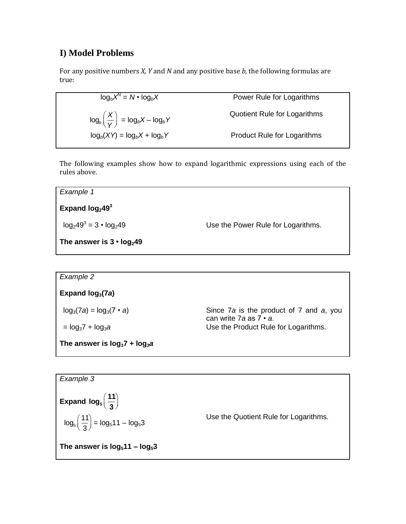### **I) Model Problems**

For any positive numbers *X, Y* and *N* and any positive base *b*, the following formulas are true:

log<sub>b</sub> $X^N$ Power Rule for Logarithms  $log_b\left(\frac{X}{Y}\right)$ *Y* ſ l  $\backslash$  $\int$  = log<sub>b</sub></sub> $X$  – log<sub>b</sub> $Y$ Quotient Rule for Logarithms  $log_b(XY) = log_bX + log_bY$  Product Rule for Logarithms

The following examples show how to expand logarithmic expressions using each of the rules above.



| Example 2                         |                                                                          |
|-----------------------------------|--------------------------------------------------------------------------|
| Expand $log3(7a)$                 |                                                                          |
| $log_3(7a) = log_3(7 \cdot a)$    | Since 7a is the product of 7 and a, you<br>can write 7a as $7 \cdot a$ . |
| $=$ $log_3 7 + log_3 a$           | Use the Product Rule for Logarithms.                                     |
| The answer is $log_3 7 + log_3 a$ |                                                                          |

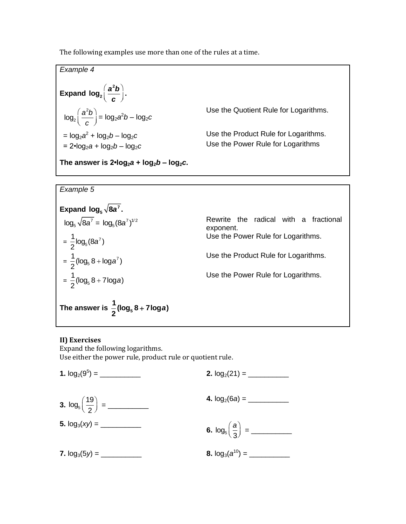The following examples use more than one of the rules at a time.

| Example 4                                                               |                                       |
|-------------------------------------------------------------------------|---------------------------------------|
|                                                                         |                                       |
| Expand $log_2\left(\frac{a^2b}{c}\right)$ .                             |                                       |
| $\log_2\left(\frac{a^2b}{c}\right) = \log_2\left(a^2b - \log_2c\right)$ | Use the Quotient Rule for Logarithms. |
| $= \log_2 a^2 + \log_2 b - \log_2 c$                                    | Use the Product Rule for Logarithms.  |
| $= 2 \cdot \log_2 a + \log_2 b - \log_2 c$                              | Use the Power Rule for Logarithms     |
|                                                                         |                                       |
| The answer is $2 \cdot \log_2 a + \log_2 b - \log_2 c$ .                |                                       |

*Example 5*



#### **II) Exercises**

Expand the following logarithms. Use either the power rule, product rule or quotient rule.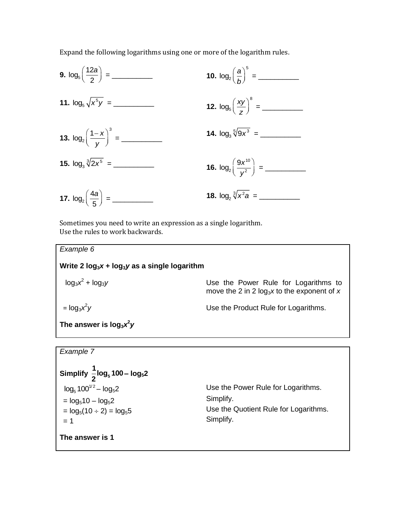Expand the following logarithms using one or more of the logarithm rules.



Sometimes you need to write an expression as a single logarithm. Use the rules to work backwards.

| Example 6                                           |                                                                                       |  |
|-----------------------------------------------------|---------------------------------------------------------------------------------------|--|
| Write 2 $log_3 x$ + $log_3 y$ as a single logarithm |                                                                                       |  |
| $log_3x^2 + log_3y$                                 | Use the Power Rule for Logarithms to<br>move the 2 in 2 $log_3x$ to the exponent of x |  |
| $=$ $log_3 x^2 y$                                   | Use the Product Rule for Logarithms.                                                  |  |
| The answer is $log_3x^2y$                           |                                                                                       |  |

```
Example 7
```
Simplify 
$$
\frac{1}{2} \log_5 100 - \log_5 2
$$
  
\n $\log_5 100^{1/2} - \log_5 2$   
\n $= \log_5 10 - \log_5 2$   
\n $= \log_5 (10 \div 2) = \log_5 5$   
\n $= 1$   
\n**The answer is 1**  
\nUse the Power Rule for Logarithms.  
\nSimplify.  
\nSimplify.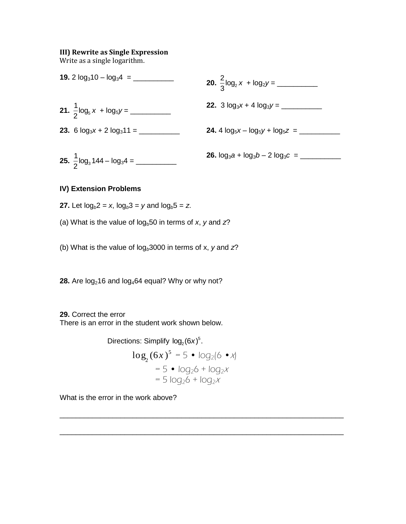#### **III) Rewrite as Single Expression**

Write as a single logarithm.



#### **IV) Extension Problems**

- **27.** Let  $log_b 2 = x$ ,  $log_b 3 = y$  and  $log_b 5 = z$ .
- (a) What is the value of  $log_b 50$  in terms of *x*, *y* and  $z$ ?
- (b) What is the value of log*b*3000 in terms of x, *y* and *z*?

**28.** Are  $log_2 16$  and  $log_4 64$  equal? Why or why not?

**29.** Correct the error There is an error in the student work shown below.

> Directions: Simplify  $log<sub>2</sub>(6x)<sup>5</sup>$ .  $\log_2(6x)^5 = 5 \cdot \log_2(6 \cdot x)$  $= 5 \cdot log_2 6 + log_2 x$  $= 5$  log<sub>2</sub>6 + log<sub>2</sub>x

\_\_\_\_\_\_\_\_\_\_\_\_\_\_\_\_\_\_\_\_\_\_\_\_\_\_\_\_\_\_\_\_\_\_\_\_\_\_\_\_\_\_\_\_\_\_\_\_\_\_\_\_\_\_\_\_\_\_\_\_\_\_\_\_\_\_\_\_\_\_

\_\_\_\_\_\_\_\_\_\_\_\_\_\_\_\_\_\_\_\_\_\_\_\_\_\_\_\_\_\_\_\_\_\_\_\_\_\_\_\_\_\_\_\_\_\_\_\_\_\_\_\_\_\_\_\_\_\_\_\_\_\_\_\_\_\_\_\_\_\_

What is the error in the work above?